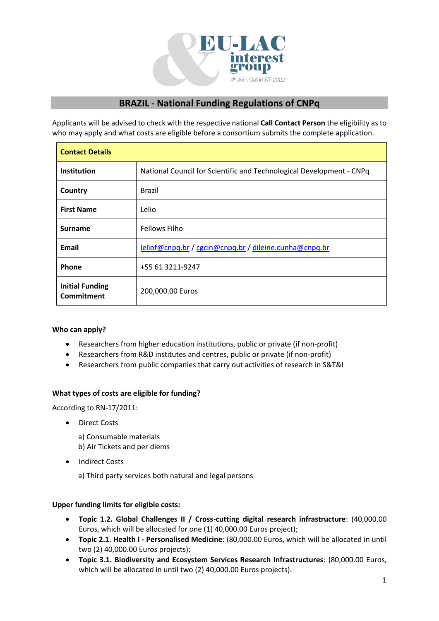

# **BRAZIL - National Funding Regulations of CNPq**

Applicants will be advised to check with the respective national **Call Contact Person** the eligibility as to who may apply and what costs are eligible before a consortium submits the complete application.

| <b>Contact Details</b>               |                                                                      |
|--------------------------------------|----------------------------------------------------------------------|
| <b>Institution</b>                   | National Council for Scientific and Technological Development - CNPq |
| Country                              | <b>Brazil</b>                                                        |
| <b>First Name</b>                    | Lelio                                                                |
| <b>Surname</b>                       | <b>Fellows Filho</b>                                                 |
| Email                                | leliof@cnpq.br / cgcin@cnpq.br / dileine.cunha@cnpq.br               |
| Phone                                | +55 61 3211-9247                                                     |
| <b>Initial Funding</b><br>Commitment | 200,000.00 Euros                                                     |

## **Who can apply?**

- Researchers from higher education institutions, public or private (if non-profit)
- Researchers from R&D institutes and centres, public or private (if non-profit)
- Researchers from public companies that carry out activities of research in S&T&I

#### **What types of costs are eligible for funding?**

According to RN-17/2011:

• Direct Costs

a) Consumable materials b) Air Tickets and per diems

• Indirect Costs

a) Third party services both natural and legal persons

#### **Upper funding limits for eligible costs:**

- **Topic 1.2. Global Challenges II / Cross-cutting digital research infrastructure**: (40,000.00 Euros, which will be allocated for one (1) 40,000.00 Euros project);
- **Topic 2.1. Health I - Personalised Medicine**: (80,000.00 Euros, which will be allocated in until two (2) 40,000.00 Euros projects);
- **Topic 3.1. Biodiversity and Ecosystem Services Research Infrastructures**: (80,000.00 Euros, which will be allocated in until two (2) 40,000.00 Euros projects).